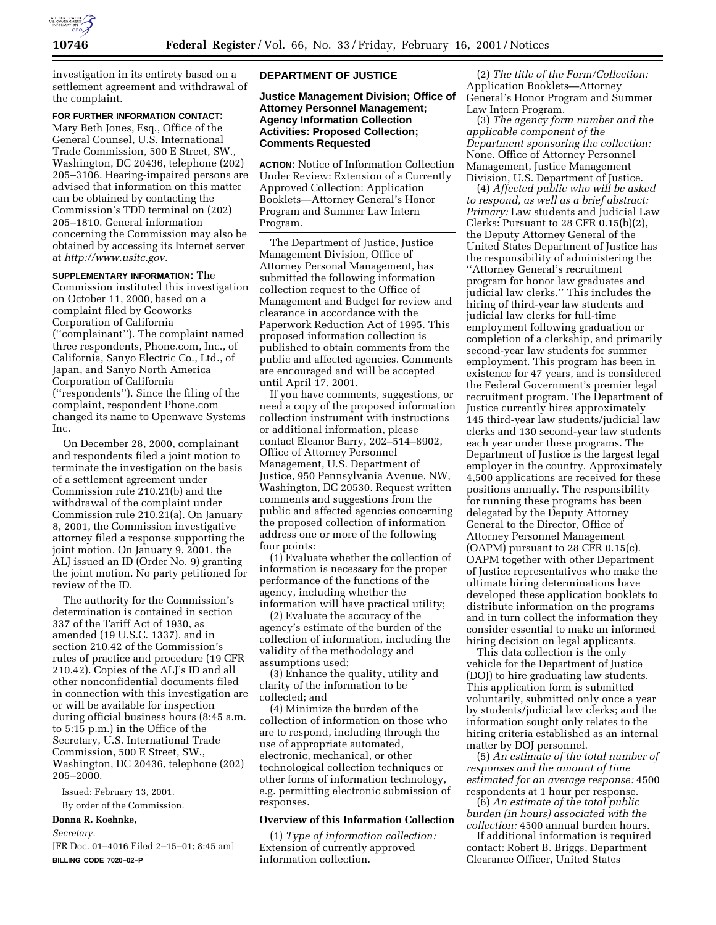

investigation in its entirety based on a settlement agreement and withdrawal of the complaint.

#### **FOR FURTHER INFORMATION CONTACT:**

Mary Beth Jones, Esq., Office of the General Counsel, U.S. International Trade Commission, 500 E Street, SW., Washington, DC 20436, telephone (202) 205–3106. Hearing-impaired persons are advised that information on this matter can be obtained by contacting the Commission's TDD terminal on (202) 205–1810. General information concerning the Commission may also be obtained by accessing its Internet server at *http://www.usitc.gov.*

**SUPPLEMENTARY INFORMATION:** The Commission instituted this investigation on October 11, 2000, based on a complaint filed by Geoworks Corporation of California (''complainant''). The complaint named three respondents, Phone.com, Inc., of California, Sanyo Electric Co., Ltd., of Japan, and Sanyo North America Corporation of California (''respondents''). Since the filing of the complaint, respondent Phone.com changed its name to Openwave Systems Inc.

On December 28, 2000, complainant and respondents filed a joint motion to terminate the investigation on the basis of a settlement agreement under Commission rule 210.21(b) and the withdrawal of the complaint under Commission rule 210.21(a). On January 8, 2001, the Commission investigative attorney filed a response supporting the joint motion. On January 9, 2001, the ALJ issued an ID (Order No. 9) granting the joint motion. No party petitioned for review of the ID.

The authority for the Commission's determination is contained in section 337 of the Tariff Act of 1930, as amended (19 U.S.C. 1337), and in section 210.42 of the Commission's rules of practice and procedure (19 CFR 210.42). Copies of the ALJ's ID and all other nonconfidential documents filed in connection with this investigation are or will be available for inspection during official business hours (8:45 a.m. to 5:15 p.m.) in the Office of the Secretary, U.S. International Trade Commission, 500 E Street, SW., Washington, DC 20436, telephone (202) 205–2000.

Issued: February 13, 2001.

By order of the Commission.

# **Donna R. Koehnke,**

*Secretary.*

[FR Doc. 01–4016 Filed 2–15–01; 8:45 am] **BILLING CODE 7020–02–P**

## **DEPARTMENT OF JUSTICE**

**Justice Management Division; Office of Attorney Personnel Management; Agency Information Collection Activities: Proposed Collection; Comments Requested**

**ACTION:** Notice of Information Collection Under Review: Extension of a Currently Approved Collection: Application Booklets—Attorney General's Honor Program and Summer Law Intern Program.

The Department of Justice, Justice Management Division, Office of Attorney Personal Management, has submitted the following information collection request to the Office of Management and Budget for review and clearance in accordance with the Paperwork Reduction Act of 1995. This proposed information collection is published to obtain comments from the public and affected agencies. Comments are encouraged and will be accepted until April 17, 2001.

If you have comments, suggestions, or need a copy of the proposed information collection instrument with instructions or additional information, please contact Eleanor Barry, 202–514–8902, Office of Attorney Personnel Management, U.S. Department of Justice, 950 Pennsylvania Avenue, NW, Washington, DC 20530. Request written comments and suggestions from the public and affected agencies concerning the proposed collection of information address one or more of the following four points:

(1) Evaluate whether the collection of information is necessary for the proper performance of the functions of the agency, including whether the information will have practical utility;

(2) Evaluate the accuracy of the agency's estimate of the burden of the collection of information, including the validity of the methodology and assumptions used;

(3) Enhance the quality, utility and clarity of the information to be collected; and

(4) Minimize the burden of the collection of information on those who are to respond, including through the use of appropriate automated, electronic, mechanical, or other technological collection techniques or other forms of information technology, e.g. permitting electronic submission of responses.

#### **Overview of this Information Collection**

(1) *Type of information collection:* Extension of currently approved information collection.

(2) *The title of the Form/Collection:* Application Booklets—Attorney General's Honor Program and Summer Law Intern Program.

(3) *The agency form number and the applicable component of the Department sponsoring the collection:* None. Office of Attorney Personnel Management, Justice Management Division, U.S. Department of Justice.

(4) *Affected public who will be asked to respond, as well as a brief abstract: Primary:* Law students and Judicial Law Clerks: Pursuant to 28 CFR 0.15(b)(2), the Deputy Attorney General of the United States Department of Justice has the responsibility of administering the ''Attorney General's recruitment program for honor law graduates and judicial law clerks.'' This includes the hiring of third-year law students and judicial law clerks for full-time employment following graduation or completion of a clerkship, and primarily second-year law students for summer employment. This program has been in existence for 47 years, and is considered the Federal Government's premier legal recruitment program. The Department of Justice currently hires approximately 145 third-year law students/judicial law clerks and 130 second-year law students each year under these programs. The Department of Justice is the largest legal employer in the country. Approximately 4,500 applications are received for these positions annually. The responsibility for running these programs has been delegated by the Deputy Attorney General to the Director, Office of Attorney Personnel Management (OAPM) pursuant to 28 CFR 0.15(c). OAPM together with other Department of Justice representatives who make the ultimate hiring determinations have developed these application booklets to distribute information on the programs and in turn collect the information they consider essential to make an informed hiring decision on legal applicants.

This data collection is the only vehicle for the Department of Justice (DOJ) to hire graduating law students. This application form is submitted voluntarily, submitted only once a year by students/judicial law clerks; and the information sought only relates to the hiring criteria established as an internal matter by DOJ personnel.

(5) *An estimate of the total number of responses and the amount of time estimated for an average response:* 4500 respondents at 1 hour per response.

(6) *An estimate of the total public burden (in hours) associated with the collection:* 4500 annual burden hours.

If additional information is required contact: Robert B. Briggs, Department Clearance Officer, United States